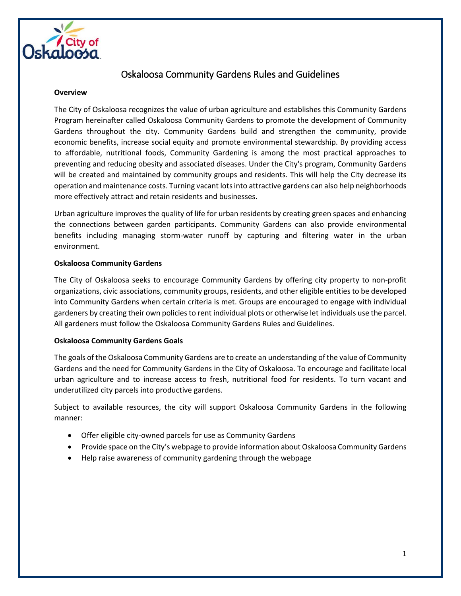

# Oskaloosa Community Gardens Rules and Guidelines

#### **Overview**

The City of Oskaloosa recognizes the value of urban agriculture and establishes this Community Gardens Program hereinafter called Oskaloosa Community Gardens to promote the development of Community Gardens throughout the city. Community Gardens build and strengthen the community, provide economic benefits, increase social equity and promote environmental stewardship. By providing access to affordable, nutritional foods, Community Gardening is among the most practical approaches to preventing and reducing obesity and associated diseases. Under the City's program, Community Gardens will be created and maintained by community groups and residents. This will help the City decrease its operation and maintenance costs. Turning vacant lots into attractive gardens can also help neighborhoods more effectively attract and retain residents and businesses.

Urban agriculture improves the quality of life for urban residents by creating green spaces and enhancing the connections between garden participants. Community Gardens can also provide environmental benefits including managing storm-water runoff by capturing and filtering water in the urban environment.

## **Oskaloosa Community Gardens**

The City of Oskaloosa seeks to encourage Community Gardens by offering city property to non-profit organizations, civic associations, community groups, residents, and other eligible entities to be developed into Community Gardens when certain criteria is met. Groups are encouraged to engage with individual gardeners by creating their own policies to rent individual plots or otherwise let individuals use the parcel. All gardeners must follow the Oskaloosa Community Gardens Rules and Guidelines.

## **Oskaloosa Community Gardens Goals**

The goals of the Oskaloosa Community Gardens are to create an understanding of the value of Community Gardens and the need for Community Gardens in the City of Oskaloosa. To encourage and facilitate local urban agriculture and to increase access to fresh, nutritional food for residents. To turn vacant and underutilized city parcels into productive gardens.

Subject to available resources, the city will support Oskaloosa Community Gardens in the following manner:

- Offer eligible city-owned parcels for use as Community Gardens
- Provide space on the City's webpage to provide information about Oskaloosa Community Gardens
- Help raise awareness of community gardening through the webpage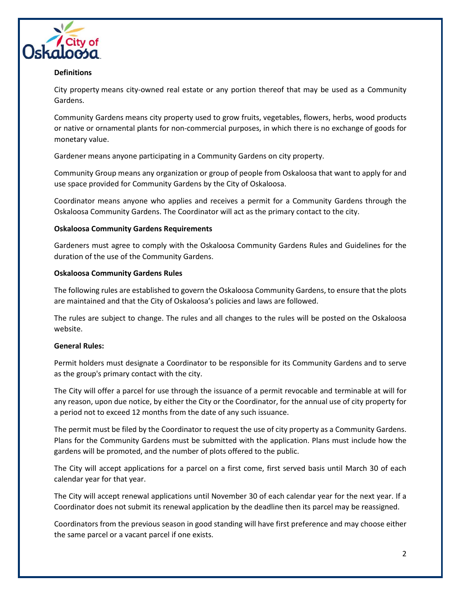

# **Definitions**

City property means city-owned real estate or any portion thereof that may be used as a Community Gardens.

Community Gardens means city property used to grow fruits, vegetables, flowers, herbs, wood products or native or ornamental plants for non-commercial purposes, in which there is no exchange of goods for monetary value.

Gardener means anyone participating in a Community Gardens on city property.

Community Group means any organization or group of people from Oskaloosa that want to apply for and use space provided for Community Gardens by the City of Oskaloosa.

Coordinator means anyone who applies and receives a permit for a Community Gardens through the Oskaloosa Community Gardens. The Coordinator will act as the primary contact to the city.

# **Oskaloosa Community Gardens Requirements**

Gardeners must agree to comply with the Oskaloosa Community Gardens Rules and Guidelines for the duration of the use of the Community Gardens.

## **Oskaloosa Community Gardens Rules**

The following rules are established to govern the Oskaloosa Community Gardens, to ensure that the plots are maintained and that the City of Oskaloosa's policies and laws are followed.

The rules are subject to change. The rules and all changes to the rules will be posted on the Oskaloosa website.

## **General Rules:**

Permit holders must designate a Coordinator to be responsible for its Community Gardens and to serve as the group's primary contact with the city.

The City will offer a parcel for use through the issuance of a permit revocable and terminable at will for any reason, upon due notice, by either the City or the Coordinator, for the annual use of city property for a period not to exceed 12 months from the date of any such issuance.

The permit must be filed by the Coordinator to request the use of city property as a Community Gardens. Plans for the Community Gardens must be submitted with the application. Plans must include how the gardens will be promoted, and the number of plots offered to the public.

The City will accept applications for a parcel on a first come, first served basis until March 30 of each calendar year for that year.

The City will accept renewal applications until November 30 of each calendar year for the next year. If a Coordinator does not submit its renewal application by the deadline then its parcel may be reassigned.

Coordinators from the previous season in good standing will have first preference and may choose either the same parcel or a vacant parcel if one exists.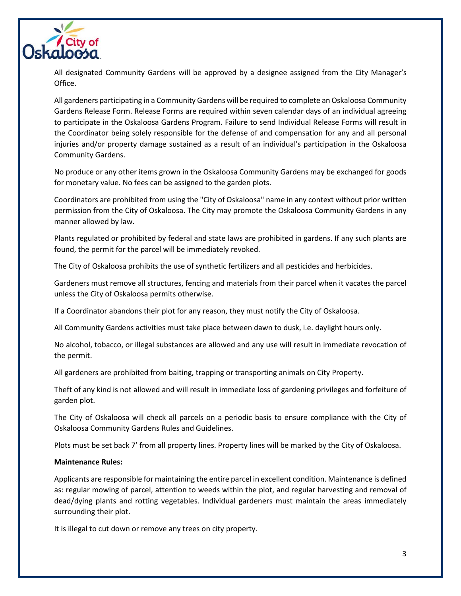

All designated Community Gardens will be approved by a designee assigned from the City Manager's Office.

All gardeners participating in a Community Gardens will be required to complete an Oskaloosa Community Gardens Release Form. Release Forms are required within seven calendar days of an individual agreeing to participate in the Oskaloosa Gardens Program. Failure to send Individual Release Forms will result in the Coordinator being solely responsible for the defense of and compensation for any and all personal injuries and/or property damage sustained as a result of an individual's participation in the Oskaloosa Community Gardens.

No produce or any other items grown in the Oskaloosa Community Gardens may be exchanged for goods for monetary value. No fees can be assigned to the garden plots.

Coordinators are prohibited from using the "City of Oskaloosa" name in any context without prior written permission from the City of Oskaloosa. The City may promote the Oskaloosa Community Gardens in any manner allowed by law.

Plants regulated or prohibited by federal and state laws are prohibited in gardens. If any such plants are found, the permit for the parcel will be immediately revoked.

The City of Oskaloosa prohibits the use of synthetic fertilizers and all pesticides and herbicides.

Gardeners must remove all structures, fencing and materials from their parcel when it vacates the parcel unless the City of Oskaloosa permits otherwise.

If a Coordinator abandons their plot for any reason, they must notify the City of Oskaloosa.

All Community Gardens activities must take place between dawn to dusk, i.e. daylight hours only.

No alcohol, tobacco, or illegal substances are allowed and any use will result in immediate revocation of the permit.

All gardeners are prohibited from baiting, trapping or transporting animals on City Property.

Theft of any kind is not allowed and will result in immediate loss of gardening privileges and forfeiture of garden plot.

The City of Oskaloosa will check all parcels on a periodic basis to ensure compliance with the City of Oskaloosa Community Gardens Rules and Guidelines.

Plots must be set back 7' from all property lines. Property lines will be marked by the City of Oskaloosa.

#### **Maintenance Rules:**

Applicants are responsible for maintaining the entire parcel in excellent condition. Maintenance is defined as: regular mowing of parcel, attention to weeds within the plot, and regular harvesting and removal of dead/dying plants and rotting vegetables. Individual gardeners must maintain the areas immediately surrounding their plot.

It is illegal to cut down or remove any trees on city property.